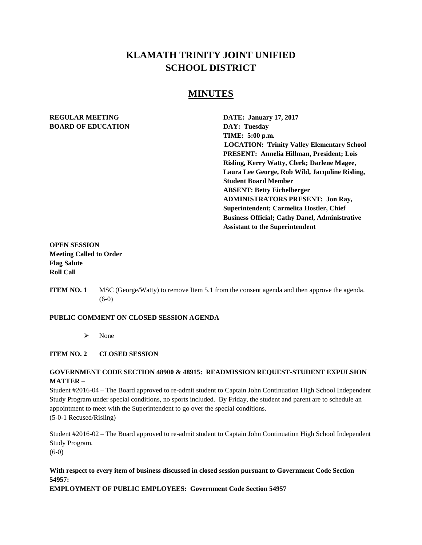# **KLAMATH TRINITY JOINT UNIFIED SCHOOL DISTRICT**

# **MINUTES**

# **REGULAR MEETING DATE: January 17, 2017 BOARD OF EDUCATION DAY: Tuesday**

**TIME: 5:00 p.m. LOCATION: Trinity Valley Elementary School PRESENT: Annelia Hillman, President; Lois Risling, Kerry Watty, Clerk; Darlene Magee, Laura Lee George, Rob Wild, Jacquline Risling, Student Board Member ABSENT: Betty Eichelberger ADMINISTRATORS PRESENT: Jon Ray, Superintendent; Carmelita Hostler, Chief Business Official; Cathy Danel, Administrative Assistant to the Superintendent** 

# **OPEN SESSION Meeting Called to Order Flag Salute Roll Call**

**ITEM NO. 1** MSC (George/Watty) to remove Item 5.1 from the consent agenda and then approve the agenda. (6-0)

#### **PUBLIC COMMENT ON CLOSED SESSION AGENDA**

 $\triangleright$  None

#### **ITEM NO. 2 CLOSED SESSION**

#### **GOVERNMENT CODE SECTION 48900 & 48915: READMISSION REQUEST-STUDENT EXPULSION MATTER –**

Student #2016-04 – The Board approved to re-admit student to Captain John Continuation High School Independent Study Program under special conditions, no sports included. By Friday, the student and parent are to schedule an appointment to meet with the Superintendent to go over the special conditions. (5-0-1 Recused/Risling)

Student #2016-02 – The Board approved to re-admit student to Captain John Continuation High School Independent Study Program. (6-0)

# **With respect to every item of business discussed in closed session pursuant to Government Code Section 54957:**

**EMPLOYMENT OF PUBLIC EMPLOYEES: Government Code Section 54957**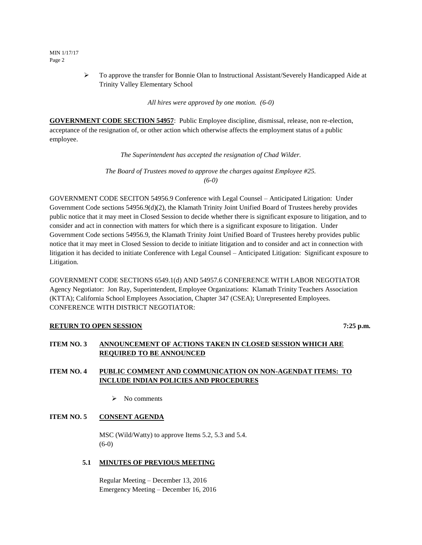- MIN 1/17/17 Page 2
- To approve the transfer for Bonnie Olan to Instructional Assistant/Severely Handicapped Aide at Trinity Valley Elementary School

*All hires were approved by one motion. (6-0)*

**GOVERNMENT CODE SECTION 54957**: Public Employee discipline, dismissal, release, non re-election, acceptance of the resignation of, or other action which otherwise affects the employment status of a public employee.

*The Superintendent has accepted the resignation of Chad Wilder.* 

*The Board of Trustees moved to approve the charges against Employee #25. (6-0)*

GOVERNMENT CODE SECITON 54956.9 Conference with Legal Counsel – Anticipated Litigation: Under Government Code sections 54956.9(d)(2), the Klamath Trinity Joint Unified Board of Trustees hereby provides public notice that it may meet in Closed Session to decide whether there is significant exposure to litigation, and to consider and act in connection with matters for which there is a significant exposure to litigation. Under Government Code sections 54956.9, the Klamath Trinity Joint Unified Board of Trustees hereby provides public notice that it may meet in Closed Session to decide to initiate litigation and to consider and act in connection with litigation it has decided to initiate Conference with Legal Counsel – Anticipated Litigation: Significant exposure to Litigation.

GOVERNMENT CODE SECTIONS 6549.1(d) AND 54957.6 CONFERENCE WITH LABOR NEGOTIATOR Agency Negotiator: Jon Ray, Superintendent, Employee Organizations: Klamath Trinity Teachers Association (KTTA); California School Employees Association, Chapter 347 (CSEA); Unrepresented Employees. CONFERENCE WITH DISTRICT NEGOTIATOR:

#### **RETURN TO OPEN SESSION** 7:25 p.m.

## **ITEM NO. 3 ANNOUNCEMENT OF ACTIONS TAKEN IN CLOSED SESSION WHICH ARE REQUIRED TO BE ANNOUNCED**

## **ITEM NO. 4 PUBLIC COMMENT AND COMMUNICATION ON NON-AGENDAT ITEMS: TO INCLUDE INDIAN POLICIES AND PROCEDURES**

 $\triangleright$  No comments

#### **ITEM NO. 5 CONSENT AGENDA**

MSC (Wild/Watty) to approve Items 5.2, 5.3 and 5.4. (6-0)

#### **5.1 MINUTES OF PREVIOUS MEETING**

Regular Meeting – December 13, 2016 Emergency Meeting – December 16, 2016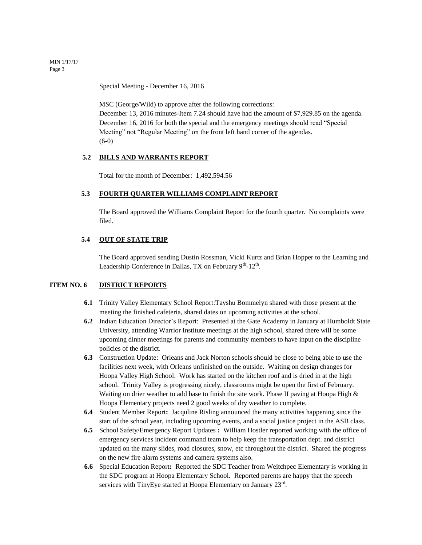MIN 1/17/17 Page 3

Special Meeting - December 16, 2016

MSC (George/Wild) to approve after the following corrections: December 13, 2016 minutes-Item 7.24 should have had the amount of \$7,929.85 on the agenda. December 16, 2016 for both the special and the emergency meetings should read "Special Meeting" not "Regular Meeting" on the front left hand corner of the agendas. (6-0)

#### **5.2 BILLS AND WARRANTS REPORT**

Total for the month of December: 1,492,594.56

## **5.3 FOURTH QUARTER WILLIAMS COMPLAINT REPORT**

The Board approved the Williams Complaint Report for the fourth quarter. No complaints were filed.

#### **5.4 OUT OF STATE TRIP**

The Board approved sending Dustin Rossman, Vicki Kurtz and Brian Hopper to the Learning and Leadership Conference in Dallas, TX on February  $9<sup>th</sup>$ -12<sup>th</sup>.

#### **ITEM NO. 6 DISTRICT REPORTS**

- **6.1** Trinity Valley Elementary School Report:Tayshu Bommelyn shared with those present at the meeting the finished cafeteria, shared dates on upcoming activities at the school.
- **6.2** Indian Education Director's Report: Presented at the Gate Academy in January at Humboldt State University, attending Warrior Institute meetings at the high school, shared there will be some upcoming dinner meetings for parents and community members to have input on the discipline policies of the district.
- **6.3** Construction Update: Orleans and Jack Norton schools should be close to being able to use the facilities next week, with Orleans unfinished on the outside. Waiting on design changes for Hoopa Valley High School. Work has started on the kitchen roof and is dried in at the high school. Trinity Valley is progressing nicely, classrooms might be open the first of February. Waiting on drier weather to add base to finish the site work. Phase II paving at Hoopa High & Hoopa Elementary projects need 2 good weeks of dry weather to complete.
- **6.4** Student Member Report**:** Jacquline Risling announced the many activities happening since the start of the school year, including upcoming events, and a social justice project in the ASB class.
- **6.5** School Safety/Emergency Report Updates **:** William Hostler reported working with the office of emergency services incident command team to help keep the transportation dept. and district updated on the many slides, road closures, snow, etc throughout the district. Shared the progress on the new fire alarm systems and camera systems also.
- **6.6** Special Education Report**:** Reported the SDC Teacher from Weitchpec Elementary is working in the SDC program at Hoopa Elementary School. Reported parents are happy that the speech services with TinyEye started at Hoopa Elementary on January  $23<sup>rd</sup>$ .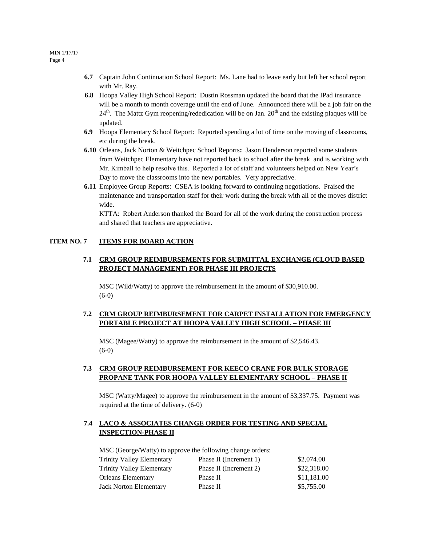- **6.7** Captain John Continuation School Report: Ms. Lane had to leave early but left her school report with Mr. Ray.
- **6.8** Hoopa Valley High School Report: Dustin Rossman updated the board that the IPad insurance will be a month to month coverage until the end of June. Announced there will be a job fair on the  $24<sup>th</sup>$ . The Mattz Gym reopening/rededication will be on Jan.  $20<sup>th</sup>$  and the existing plaques will be updated.
- **6.9** Hoopa Elementary School Report: Reported spending a lot of time on the moving of classrooms, etc during the break.
- **6.10** Orleans, Jack Norton & Weitchpec School Reports**:** Jason Henderson reported some students from Weitchpec Elementary have not reported back to school after the break and is working with Mr. Kimball to help resolve this. Reported a lot of staff and volunteers helped on New Year's Day to move the classrooms into the new portables. Very appreciative.
- **6.11** Employee Group Reports: CSEA is looking forward to continuing negotiations. Praised the maintenance and transportation staff for their work during the break with all of the moves district wide.

KTTA: Robert Anderson thanked the Board for all of the work during the construction process and shared that teachers are appreciative.

#### **ITEM NO. 7 ITEMS FOR BOARD ACTION**

## **7.1 CRM GROUP REIMBURSEMENTS FOR SUBMITTAL EXCHANGE (CLOUD BASED PROJECT MANAGEMENT) FOR PHASE III PROJECTS**

MSC (Wild/Watty) to approve the reimbursement in the amount of \$30,910.00. (6-0)

## **7.2 CRM GROUP REIMBURSEMENT FOR CARPET INSTALLATION FOR EMERGENCY PORTABLE PROJECT AT HOOPA VALLEY HIGH SCHOOL – PHASE III**

MSC (Magee/Watty) to approve the reimbursement in the amount of \$2,546.43. (6-0)

## **7.3 CRM GROUP REIMBURSEMENT FOR KEECO CRANE FOR BULK STORAGE PROPANE TANK FOR HOOPA VALLEY ELEMENTARY SCHOOL – PHASE II**

MSC (Watty/Magee) to approve the reimbursement in the amount of \$3,337.75. Payment was required at the time of delivery. (6-0)

## **7.4 LACO & ASSOCIATES CHANGE ORDER FOR TESTING AND SPECIAL INSPECTION-PHASE II**

MSC (George/Watty) to approve the following change orders:

| Phase II (Increment 1) | \$2,074.00  |
|------------------------|-------------|
| Phase II (Increment 2) | \$22,318.00 |
| Phase II               | \$11,181.00 |
| Phase II               | \$5,755.00  |
|                        |             |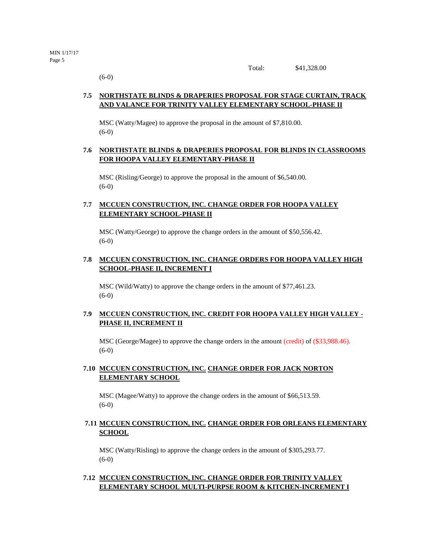Total: \$41,328.00

(6-0)

## **7.5 NORTHSTATE BLINDS & DRAPERIES PROPOSAL FOR STAGE CURTAIN, TRACK AND VALANCE FOR TRINITY VALLEY ELEMENTARY SCHOOL-PHASE II**

MSC (Watty/Magee) to approve the proposal in the amount of \$7,810.00. (6-0)

## **7.6 NORTHSTATE BLINDS & DRAPERIES PROPOSAL FOR BLINDS IN CLASSROOMS FOR HOOPA VALLEY ELEMENTARY-PHASE II**

MSC (Risling/George) to approve the proposal in the amount of \$6,540.00. (6-0)

## **7.7 MCCUEN CONSTRUCTION, INC. CHANGE ORDER FOR HOOPA VALLEY ELEMENTARY SCHOOL-PHASE II**

MSC (Watty/George) to approve the change orders in the amount of \$50,556.42.  $(6-0)$ 

## **7.8 MCCUEN CONSTRUCTION, INC. CHANGE ORDERS FOR HOOPA VALLEY HIGH SCHOOL-PHASE II, INCREMENT I**

MSC (Wild/Watty) to approve the change orders in the amount of \$77,461.23. (6-0)

## **7.9 MCCUEN CONSTRUCTION, INC. CREDIT FOR HOOPA VALLEY HIGH VALLEY - PHASE II, INCREMENT II**

MSC (George/Magee) to approve the change orders in the amount (credit) of (\$33,988.46). (6-0)

#### **7.10 MCCUEN CONSTRUCTION, INC. CHANGE ORDER FOR JACK NORTON ELEMENTARY SCHOOL**

MSC (Magee/Watty) to approve the change orders in the amount of \$66,513.59. (6-0)

## **7.11 MCCUEN CONSTRUCTION, INC. CHANGE ORDER FOR ORLEANS ELEMENTARY SCHOOL**

MSC (Watty/Risling) to approve the change orders in the amount of \$305,293.77.  $(6-0)$ 

#### **7.12 MCCUEN CONSTRUCTION, INC. CHANGE ORDER FOR TRINITY VALLEY ELEMENTARY SCHOOL MULTI-PURPSE ROOM & KITCHEN-INCREMENT I**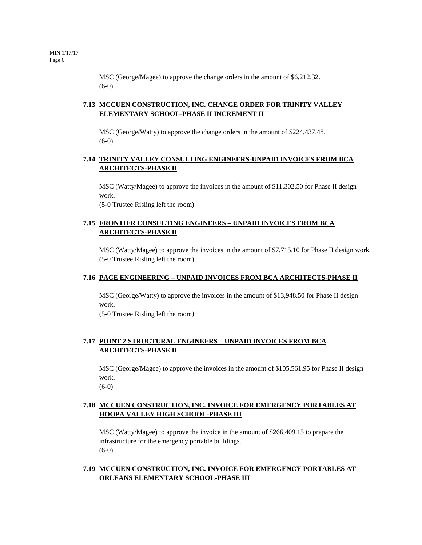MSC (George/Magee) to approve the change orders in the amount of \$6,212.32. (6-0)

# **7.13 MCCUEN CONSTRUCTION, INC. CHANGE ORDER FOR TRINITY VALLEY ELEMENTARY SCHOOL-PHASE II INCREMENT II**

MSC (George/Watty) to approve the change orders in the amount of \$224,437.48. (6-0)

# **7.14 TRINITY VALLEY CONSULTING ENGINEERS-UNPAID INVOICES FROM BCA ARCHITECTS-PHASE II**

MSC (Watty/Magee) to approve the invoices in the amount of \$11,302.50 for Phase II design work.

(5-0 Trustee Risling left the room)

## **7.15 FRONTIER CONSULTING ENGINEERS – UNPAID INVOICES FROM BCA ARCHITECTS-PHASE II**

MSC (Watty/Magee) to approve the invoices in the amount of \$7,715.10 for Phase II design work. (5-0 Trustee Risling left the room)

#### **7.16 PACE ENGINEERING – UNPAID INVOICES FROM BCA ARCHITECTS-PHASE II**

MSC (George/Watty) to approve the invoices in the amount of \$13,948.50 for Phase II design work. (5-0 Trustee Risling left the room)

## **7.17 POINT 2 STRUCTURAL ENGINEERS – UNPAID INVOICES FROM BCA ARCHITECTS-PHASE II**

MSC (George/Magee) to approve the invoices in the amount of \$105,561.95 for Phase II design work.

(6-0)

# **7.18 MCCUEN CONSTRUCTION, INC. INVOICE FOR EMERGENCY PORTABLES AT HOOPA VALLEY HIGH SCHOOL-PHASE III**

MSC (Watty/Magee) to approve the invoice in the amount of \$266,409.15 to prepare the infrastructure for the emergency portable buildings. (6-0)

## **7.19 MCCUEN CONSTRUCTION, INC. INVOICE FOR EMERGENCY PORTABLES AT ORLEANS ELEMENTARY SCHOOL-PHASE III**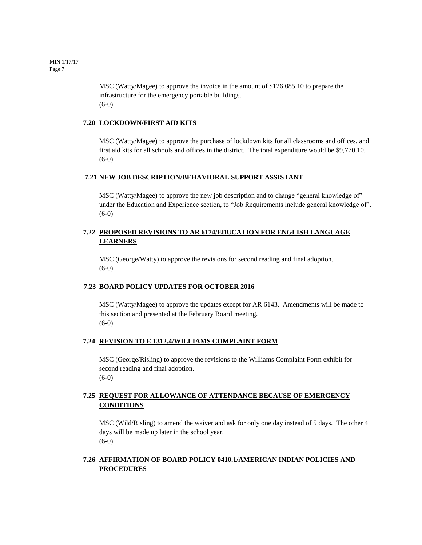MIN 1/17/17 Page 7

> MSC (Watty/Magee) to approve the invoice in the amount of \$126,085.10 to prepare the infrastructure for the emergency portable buildings. (6-0)

#### **7.20 LOCKDOWN/FIRST AID KITS**

MSC (Watty/Magee) to approve the purchase of lockdown kits for all classrooms and offices, and first aid kits for all schools and offices in the district. The total expenditure would be \$9,770.10. (6-0)

#### **7.21 NEW JOB DESCRIPTION/BEHAVIORAL SUPPORT ASSISTANT**

MSC (Watty/Magee) to approve the new job description and to change "general knowledge of" under the Education and Experience section, to "Job Requirements include general knowledge of".  $(6-0)$ 

## **7.22 PROPOSED REVISIONS TO AR 6174/EDUCATION FOR ENGLISH LANGUAGE LEARNERS**

MSC (George/Watty) to approve the revisions for second reading and final adoption. (6-0)

#### **7.23 BOARD POLICY UPDATES FOR OCTOBER 2016**

MSC (Watty/Magee) to approve the updates except for AR 6143. Amendments will be made to this section and presented at the February Board meeting. (6-0)

#### **7.24 REVISION TO E 1312.4/WILLIAMS COMPLAINT FORM**

MSC (George/Risling) to approve the revisions to the Williams Complaint Form exhibit for second reading and final adoption. (6-0)

## **7.25 REQUEST FOR ALLOWANCE OF ATTENDANCE BECAUSE OF EMERGENCY CONDITIONS**

MSC (Wild/Risling) to amend the waiver and ask for only one day instead of 5 days. The other 4 days will be made up later in the school year.  $(6-0)$ 

## **7.26 AFFIRMATION OF BOARD POLICY 0410.1/AMERICAN INDIAN POLICIES AND PROCEDURES**